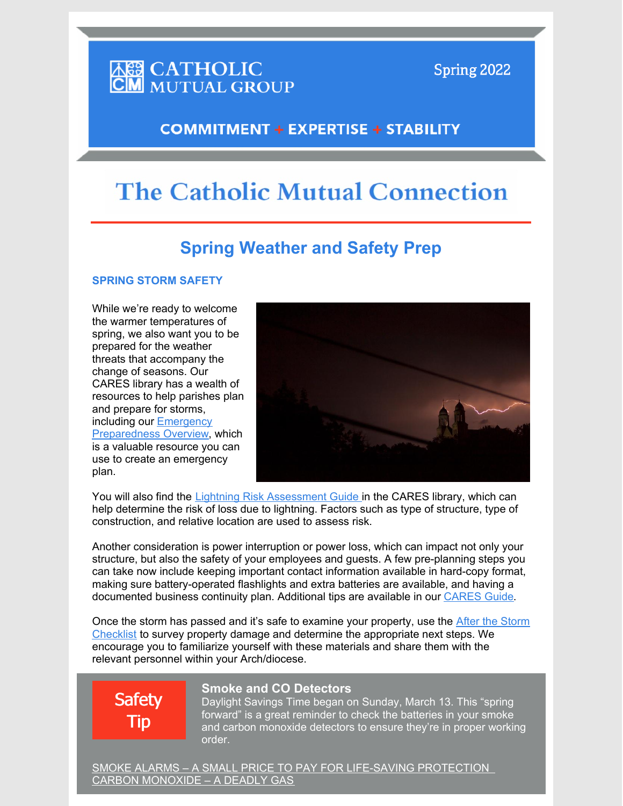# **ASS CATHOLIC<br>CM** MUTUAL GROUP

Spring 2022

### **COMMITMENT + EXPERTISE + STABILITY**

## **The Catholic Mutual Connection**

### **Spring Weather and Safety Prep**

#### **SPRING STORM SAFETY**

While we're ready to welcome the warmer temperatures of spring, we also want you to be prepared for the weather threats that accompany the change of seasons. Our CARES library has a wealth of resources to help parishes plan and prepare for storms, [including our Emergency](https://www.catholicmutual.org/External-Links/Emergency-Preparedness-Overview-Dec-03.pdf) Preparedness Overview, which is a valuable resource you can use to create an emergency plan.



You will also find the [Lightning Risk Assessment Guide](https://www.catholicmutual.org/External-Links/Lightning-Risk-Evaluation-Guide.pdf) in the CARES library, which can help determine the risk of loss due to lightning. Factors such as type of structure, type of construction, and relative location are used to assess risk.

Another consideration is power interruption or power loss, which can impact not only your structure, but also the safety of your employees and guests. A few pre-planning steps you can take now include keeping important contact information available in hard-copy format, making sure battery-operated flashlights and extra batteries are available, and having a documented business continuity plan. Additional tips are available in our [CARES Guide](https://www.catholicmutual.org/External-Links/Power-Interruption-Pre-Planning-Awareness.pdf).

[Once the storm has passed and it's safe to examine your property, use the After the Storm](https://www.catholicmutual.org/External-Links/After-The-Storm.pdf) Checklist to survey property damage and determine the appropriate next steps. We encourage you to familiarize yourself with these materials and share them with the relevant personnel within your Arch/diocese.

# **Safety** Tip

### **Smoke and CO Detectors**

Daylight Savings Time began on Sunday, March 13. This "spring forward" is a great reminder to check the batteries in your smoke and carbon monoxide detectors to ensure they're in proper working order.

[SMOKE ALARMS – A SMALL PRICE TO PAY FOR LIFE-SAVING PROTECTION](https://www.catholicmutual.org/External-Links/Smoke-Alarms-A-Small-Price-to-Pay-for-Life-Saving-Protection.pdf)  [CARBON MONOXIDE – A DEADLY GAS](https://www.catholicmutual.org/External-Links/Carbon-Monoxide-A-Deadly-Gas.pdf)